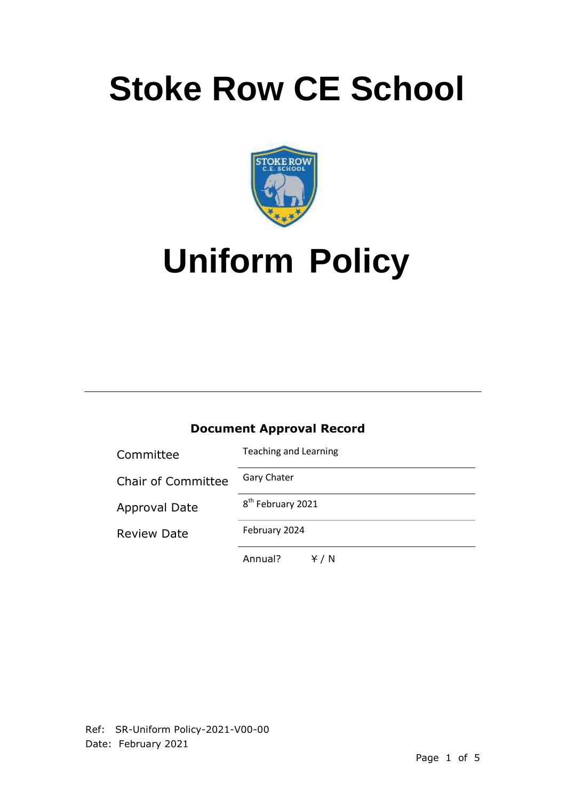# **Stoke Row CE School**



# **Uniform Policy**

## **Document Approval Record**

| Committee                 | <b>Teaching and Learning</b>  |
|---------------------------|-------------------------------|
| <b>Chair of Committee</b> | <b>Gary Chater</b>            |
| <b>Approval Date</b>      | 8 <sup>th</sup> February 2021 |
| <b>Review Date</b>        | February 2024                 |
|                           | Annual?<br>Y / N              |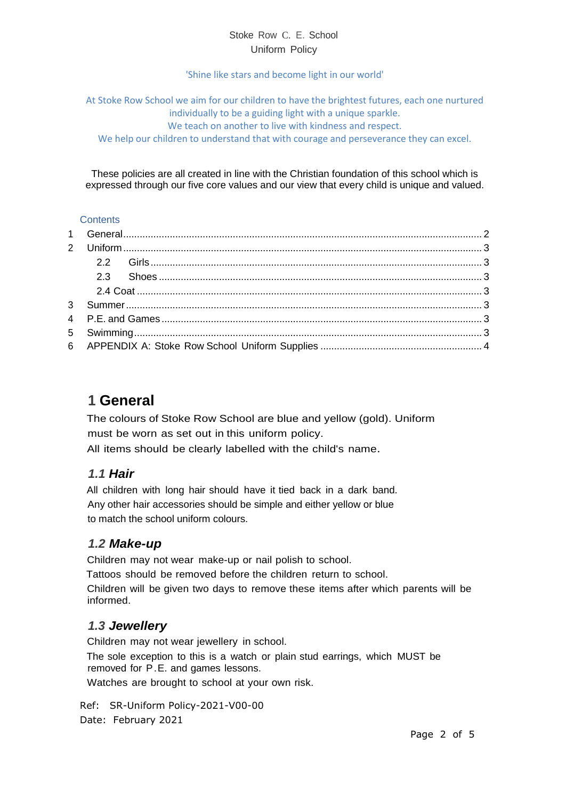#### Stoke Row C. E. School Uniform Policy

#### 'Shine like stars and become light in our world'

At Stoke Row School we aim for our children to have the brightest futures, each one nurtured individually to be a guiding light with a unique sparkle. We teach on another to live with kindness and respect. We help our children to understand that with courage and perseverance they can excel.

These policies are all created in line with the Christian foundation of this school which is expressed through our five core values and our view that every child is unique and valued.

#### **Contents**

## <span id="page-1-0"></span>**1 General**

The colours of Stoke Row School are blue and yellow (gold). Uniform must be worn as set out in this uniform policy. All items should be clearly labelled with the child's name.

#### *1.1 Hair*

All children with long hair should have it tied back in a dark band. Any other hair accessories should be simple and either yellow or blue to match the school uniform colours.

### *1.2 Make-up*

Children may not wear make-up or nail polish to school.

Tattoos should be removed before the children return to school.

Children will be given two days to remove these items after which parents will be informed.

### *1.3 Jewellery*

Children may not wear jewellery in school.

The sole exception to this is a watch or plain stud earrings, which MUST be removed for P.E. and games lessons.

Watches are brought to school at your own risk.

Ref: SR-Uniform Policy-2021-V00-00 Date: February 2021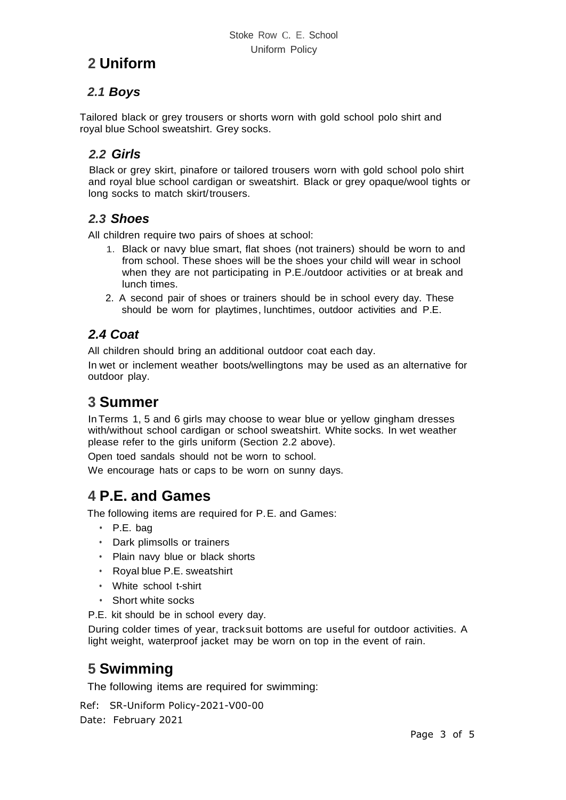# <span id="page-2-0"></span>**2 Uniform**

## *2.1 Boys*

Tailored black or grey trousers or shorts worn with gold school polo shirt and royal blue School sweatshirt. Grey socks.

## <span id="page-2-1"></span>*2.2 Girls*

Black or grey skirt, pinafore or tailored trousers worn with gold school polo shirt and royal blue school cardigan or sweatshirt. Black or grey opaque/wool tights or long socks to match skirt/trousers.

### <span id="page-2-2"></span>*2.3 Shoes*

All children require two pairs of shoes at school:

- 1. Black or navy blue smart, flat shoes (not trainers) should be worn to and from school. These shoes will be the shoes your child will wear in school when they are not participating in P.E./outdoor activities or at break and lunch times.
- 2. A second pair of shoes or trainers should be in school every day. These should be worn for playtimes, lunchtimes, outdoor activities and P.E.

## <span id="page-2-3"></span>*2.4 Coat*

All children should bring an additional outdoor coat each day.

In wet or inclement weather boots/wellingtons may be used as an alternative for outdoor play.

## <span id="page-2-4"></span>**3 Summer**

In Terms 1, 5 and 6 girls may choose to wear blue or yellow gingham dresses with/without school cardigan or school sweatshirt. White socks. In wet weather please refer to the girls uniform (Section 2.2 above).

Open toed sandals should not be worn to school.

We encourage hats or caps to be worn on sunny days.

# <span id="page-2-5"></span>**4 P.E. and Games**

The following items are required for P.E. and Games:

- P.E. bag
- Dark plimsolls or trainers
- Plain navy blue or black shorts
- Royal blue P.E. sweatshirt
- White school t-shirt
- Short white socks

P.E. kit should be in school every day.

During colder times of year, tracksuit bottoms are useful for outdoor activities. A light weight, waterproof jacket may be worn on top in the event of rain.

# <span id="page-2-6"></span>**5 Swimming**

The following items are required for swimming:

Ref: SR-Uniform Policy-2021-V00-00 Date: February 2021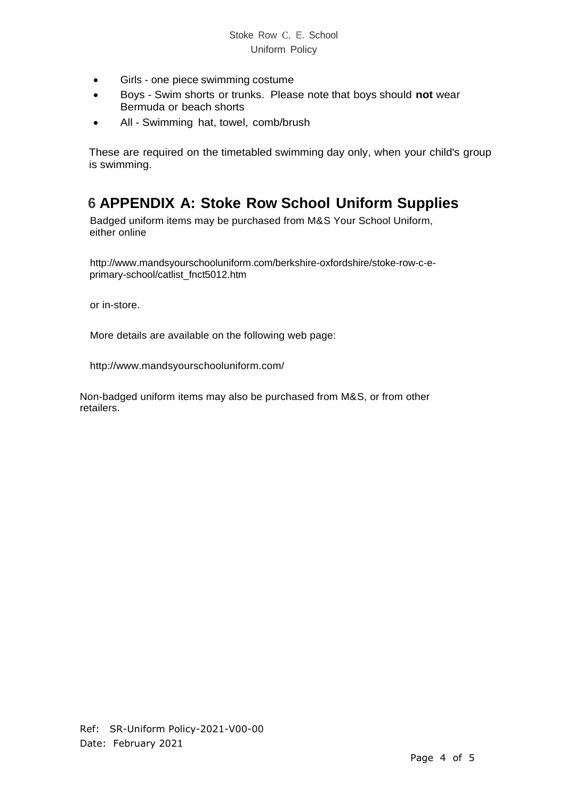- Girls one piece swimming costume
- Boys Swim shorts or trunks. Please note that boys should **not** wear Bermuda or beach shorts
- All Swimming hat, towel, comb/brush

These are required on the timetabled swimming day only, when your child's group is swimming.

## <span id="page-3-0"></span>**6 APPENDIX A: Stoke Row School Uniform Supplies**

Badged uniform items may be purchased from M&S Your School Uniform, either online

[http://www.mandsyourschooluniform.com/berkshire-oxfordshire/stoke-row-c-e](http://www.mandsyourschooluniform.com/berkshire-oxfordshire/stoke-row-c-e-primary-school/catlist_fnct5012.htm)[primary-school/catlist\\_fnct5012.htm](http://www.mandsyourschooluniform.com/berkshire-oxfordshire/stoke-row-c-e-primary-school/catlist_fnct5012.htm)

or in-store.

More details are available on the following web page:

<http://www.mandsyourschooluniform.com/>

Non-badged uniform items may also be purchased from M&S, or from other retailers.